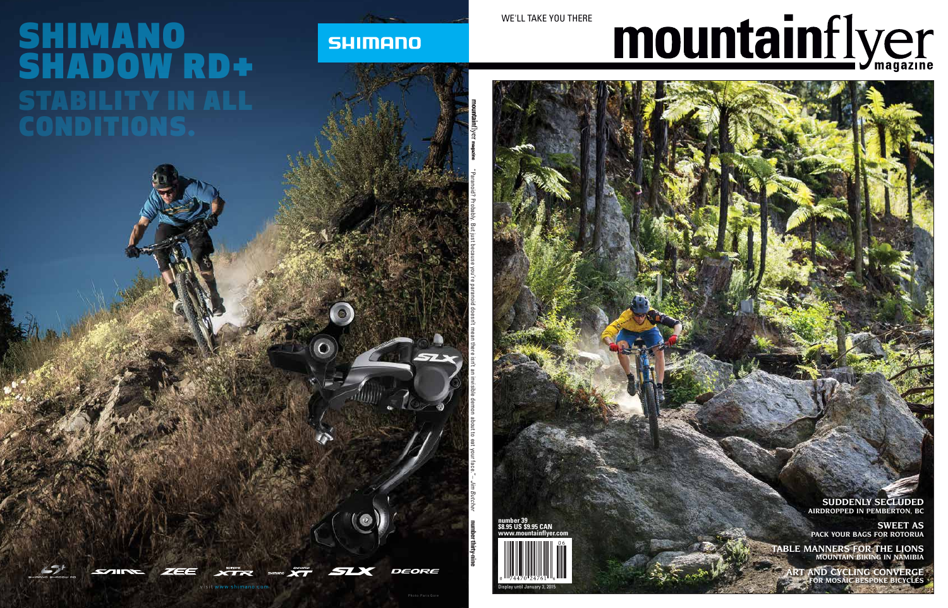## mountainflyer

WE'LL TAKE YOU THERE

**number 39 \$8.95 US \$9.95 CAN www.mountainflyer.com**



**SUDDENLY SECLUDED AIRDROPPED IN PEMBERTON, BC**

**SWEET AS PACK YOUR BAGS FOR ROTORUA**

**TABLE MANNERS FOR THE LIONS MOUNTAIN BIKING IN NAMIBIA**

> **ART AND CYCLING CONVERGE FOR MOSAIC BESPOKE BICYCLES**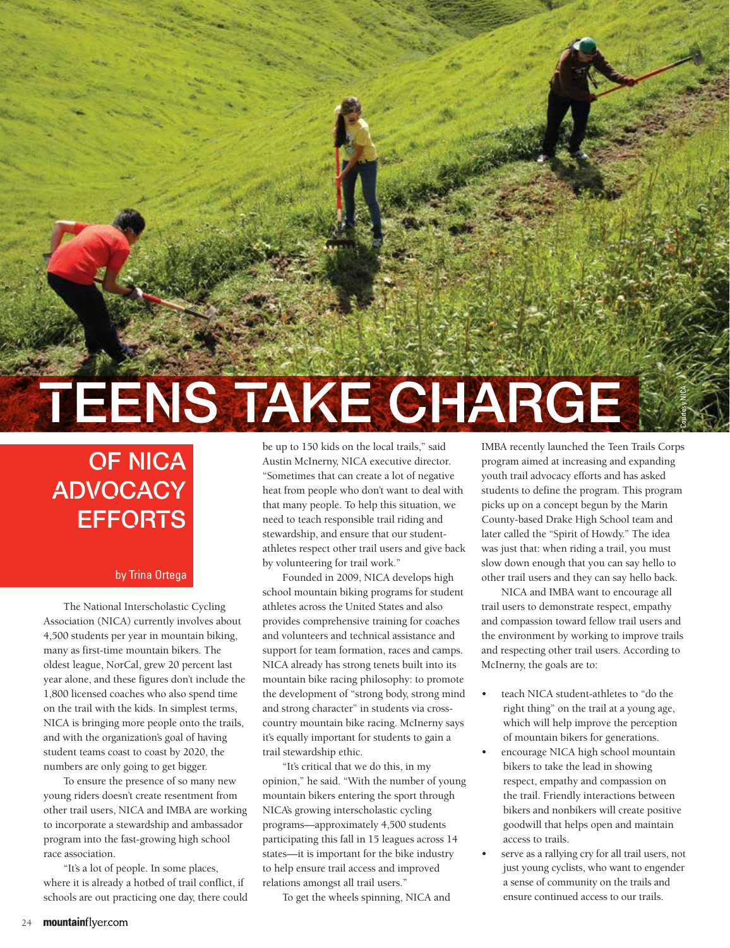## TEENS TAKE CHARGE

## OF NICA **ADVOCACY** EFFORTS

## by Trina Ortega

The National Interscholastic Cycling Association (NICA) currently involves about 4,500 students per year in mountain biking, many as first-time mountain bikers. The oldest league, NorCal, grew 20 percent last year alone, and these figures don't include the 1,800 licensed coaches who also spend time on the trail with the kids. In simplest terms, NICA is bringing more people onto the trails, and with the organization's goal of having student teams coast to coast by 2020, the numbers are only going to get bigger.

To ensure the presence of so many new young riders doesn't create resentment from other trail users, NICA and IMBA are working to incorporate a stewardship and ambassador program into the fast-growing high school race association.

"It's a lot of people. In some places, where it is already a hotbed of trail conflict, if schools are out practicing one day, there could be up to 150 kids on the local trails," said Austin McInerny, NICA executive director. "Sometimes that can create a lot of negative heat from people who don't want to deal with that many people. To help this situation, we need to teach responsible trail riding and stewardship, and ensure that our studentathletes respect other trail users and give back by volunteering for trail work."

Founded in 2009, NICA develops high school mountain biking programs for student athletes across the United States and also provides comprehensive training for coaches and volunteers and technical assistance and support for team formation, races and camps. NICA already has strong tenets built into its mountain bike racing philosophy: to promote the development of "strong body, strong mind and strong character" in students via crosscountry mountain bike racing. McInerny says it's equally important for students to gain a trail stewardship ethic.

"It's critical that we do this, in my opinion," he said. "With the number of young mountain bikers entering the sport through NICA's growing interscholastic cycling programs—approximately 4,500 students participating this fall in 15 leagues across 14 states—it is important for the bike industry to help ensure trail access and improved relations amongst all trail users."

To get the wheels spinning, NICA and

IMBA recently launched the Teen Trails Corps program aimed at increasing and expanding youth trail advocacy efforts and has asked students to define the program. This program picks up on a concept begun by the Marin County-based Drake High School team and later called the "Spirit of Howdy." The idea was just that: when riding a trail, you must slow down enough that you can say hello to other trail users and they can say hello back.

Courtesy NICA

NICA and IMBA want to encourage all trail users to demonstrate respect, empathy and compassion toward fellow trail users and the environment by working to improve trails and respecting other trail users. According to McInerny, the goals are to:

- teach NICA student-athletes to "do the right thing" on the trail at a young age, which will help improve the perception of mountain bikers for generations.
- encourage NICA high school mountain bikers to take the lead in showing respect, empathy and compassion on the trail. Friendly interactions between bikers and nonbikers will create positive goodwill that helps open and maintain access to trails.
- serve as a rallying cry for all trail users, not just young cyclists, who want to engender a sense of community on the trails and ensure continued access to our trails.